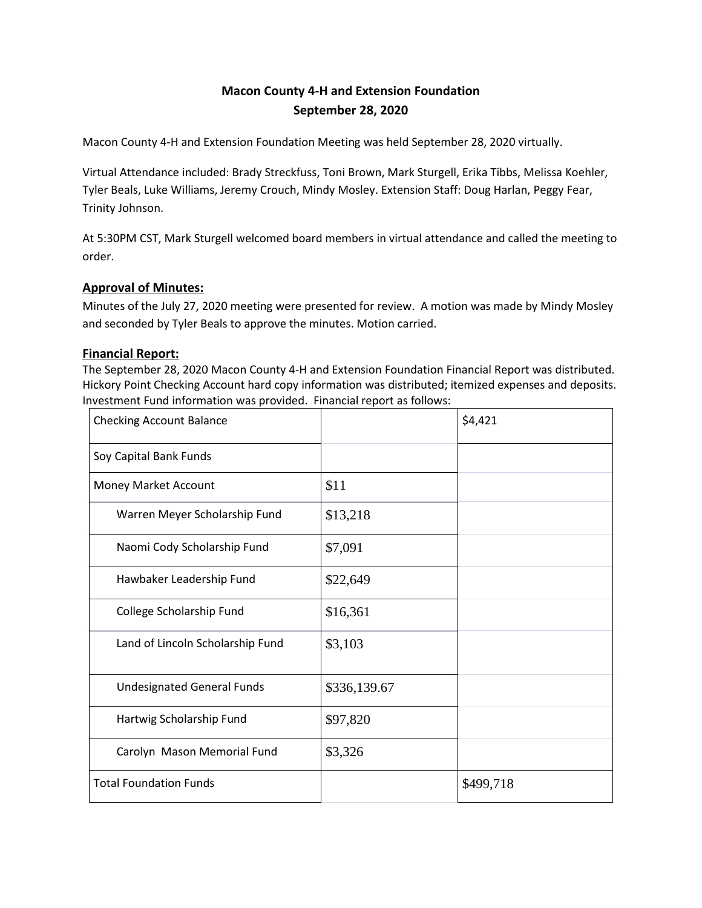# **Macon County 4-H and Extension Foundation September 28, 2020**

Macon County 4-H and Extension Foundation Meeting was held September 28, 2020 virtually.

Virtual Attendance included: Brady Streckfuss, Toni Brown, Mark Sturgell, Erika Tibbs, Melissa Koehler, Tyler Beals, Luke Williams, Jeremy Crouch, Mindy Mosley. Extension Staff: Doug Harlan, Peggy Fear, Trinity Johnson.

At 5:30PM CST, Mark Sturgell welcomed board members in virtual attendance and called the meeting to order.

# **Approval of Minutes:**

Minutes of the July 27, 2020 meeting were presented for review. A motion was made by Mindy Mosley and seconded by Tyler Beals to approve the minutes. Motion carried.

## **Financial Report:**

The September 28, 2020 Macon County 4-H and Extension Foundation Financial Report was distributed. Hickory Point Checking Account hard copy information was distributed; itemized expenses and deposits. Investment Fund information was provided. Financial report as follows:

| <b>Checking Account Balance</b>   |              | \$4,421   |
|-----------------------------------|--------------|-----------|
| Soy Capital Bank Funds            |              |           |
| Money Market Account              | \$11         |           |
| Warren Meyer Scholarship Fund     | \$13,218     |           |
| Naomi Cody Scholarship Fund       | \$7,091      |           |
| Hawbaker Leadership Fund          | \$22,649     |           |
| College Scholarship Fund          | \$16,361     |           |
| Land of Lincoln Scholarship Fund  | \$3,103      |           |
| <b>Undesignated General Funds</b> | \$336,139.67 |           |
| Hartwig Scholarship Fund          | \$97,820     |           |
| Carolyn Mason Memorial Fund       | \$3,326      |           |
| <b>Total Foundation Funds</b>     |              | \$499,718 |